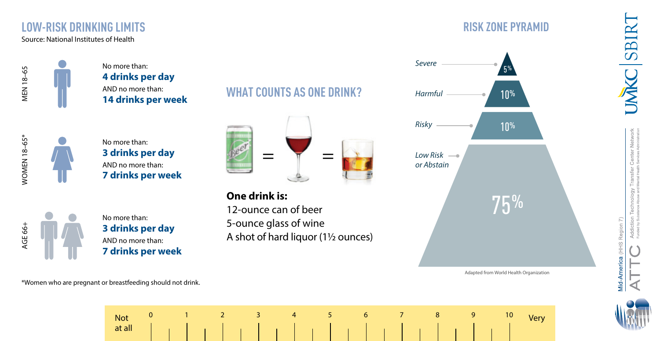## **LOW-RISK DRINKING LIMITS RISK ZONE PYRAMID**

No more than: **4 drinks per day** AND no more than: **14 drinks per week**

| α |  |
|---|--|
|   |  |
|   |  |
|   |  |
|   |  |
|   |  |
|   |  |
|   |  |
|   |  |

No more than: **3 drinks per day** AND no more than: **7 drinks per week**



No more than: **3 drinks per day** AND no more than: **7 drinks per week**

## **WHAT COUNTS AS ONE DRINK?**



**One drink is:** 12-ounce can of beer 5-ounce glass of wine A shot of hard liquor (1½ ounces)



Adapted from World Health Organization



**IMAC SBIR** 

\*Women who are pregnant or breastfeeding should not drink.

Not Not at all at all Very **<sup>0</sup> <sup>1</sup> <sup>2</sup> <sup>3</sup> <sup>4</sup> <sup>5</sup> <sup>6</sup> <sup>7</sup> <sup>8</sup> <sup>9</sup> <sup>10</sup>**